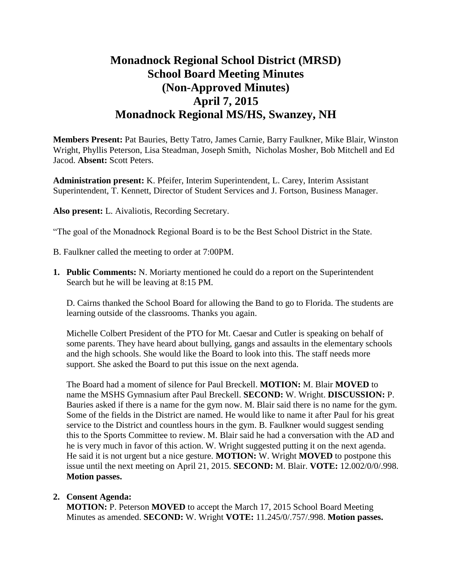# **Monadnock Regional School District (MRSD) School Board Meeting Minutes (Non-Approved Minutes) April 7, 2015 Monadnock Regional MS/HS, Swanzey, NH**

**Members Present:** Pat Bauries, Betty Tatro, James Carnie, Barry Faulkner, Mike Blair, Winston Wright, Phyllis Peterson, Lisa Steadman, Joseph Smith, Nicholas Mosher, Bob Mitchell and Ed Jacod. **Absent:** Scott Peters.

**Administration present:** K. Pfeifer, Interim Superintendent, L. Carey, Interim Assistant Superintendent, T. Kennett, Director of Student Services and J. Fortson, Business Manager.

**Also present:** L. Aivaliotis, Recording Secretary.

"The goal of the Monadnock Regional Board is to be the Best School District in the State.

- B. Faulkner called the meeting to order at 7:00PM.
- **1. Public Comments:** N. Moriarty mentioned he could do a report on the Superintendent Search but he will be leaving at 8:15 PM.

D. Cairns thanked the School Board for allowing the Band to go to Florida. The students are learning outside of the classrooms. Thanks you again.

Michelle Colbert President of the PTO for Mt. Caesar and Cutler is speaking on behalf of some parents. They have heard about bullying, gangs and assaults in the elementary schools and the high schools. She would like the Board to look into this. The staff needs more support. She asked the Board to put this issue on the next agenda.

The Board had a moment of silence for Paul Breckell. **MOTION:** M. Blair **MOVED** to name the MSHS Gymnasium after Paul Breckell. **SECOND:** W. Wright. **DISCUSSION:** P. Bauries asked if there is a name for the gym now. M. Blair said there is no name for the gym. Some of the fields in the District are named. He would like to name it after Paul for his great service to the District and countless hours in the gym. B. Faulkner would suggest sending this to the Sports Committee to review. M. Blair said he had a conversation with the AD and he is very much in favor of this action. W. Wright suggested putting it on the next agenda. He said it is not urgent but a nice gesture. **MOTION:** W. Wright **MOVED** to postpone this issue until the next meeting on April 21, 2015. **SECOND:** M. Blair. **VOTE:** 12.002/0/0/.998. **Motion passes.** 

# **2. Consent Agenda:**

**MOTION:** P. Peterson **MOVED** to accept the March 17, 2015 School Board Meeting Minutes as amended. **SECOND:** W. Wright **VOTE:** 11.245/0/.757/.998. **Motion passes.**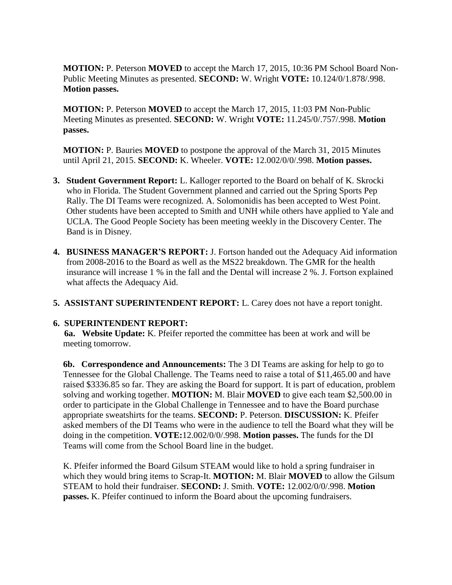**MOTION:** P. Peterson **MOVED** to accept the March 17, 2015, 10:36 PM School Board Non-Public Meeting Minutes as presented. **SECOND:** W. Wright **VOTE:** 10.124/0/1.878/.998. **Motion passes.** 

**MOTION:** P. Peterson **MOVED** to accept the March 17, 2015, 11:03 PM Non-Public Meeting Minutes as presented. **SECOND:** W. Wright **VOTE:** 11.245/0/.757/.998. **Motion passes.**

**MOTION:** P. Bauries **MOVED** to postpone the approval of the March 31, 2015 Minutes until April 21, 2015. **SECOND:** K. Wheeler. **VOTE:** 12.002/0/0/.998. **Motion passes.** 

- **3. Student Government Report:** L. Kalloger reported to the Board on behalf of K. Skrocki who in Florida. The Student Government planned and carried out the Spring Sports Pep Rally. The DI Teams were recognized. A. Solomonidis has been accepted to West Point. Other students have been accepted to Smith and UNH while others have applied to Yale and UCLA. The Good People Society has been meeting weekly in the Discovery Center. The Band is in Disney.
- **4. BUSINESS MANAGER'S REPORT:** J. Fortson handed out the Adequacy Aid information from 2008-2016 to the Board as well as the MS22 breakdown. The GMR for the health insurance will increase 1 % in the fall and the Dental will increase 2 %. J. Fortson explained what affects the Adequacy Aid.
- **5. ASSISTANT SUPERINTENDENT REPORT:** L. Carey does not have a report tonight.

# **6. SUPERINTENDENT REPORT:**

 **6a. Website Update:** K. Pfeifer reported the committee has been at work and will be meeting tomorrow.

**6b. Correspondence and Announcements:** The 3 DI Teams are asking for help to go to Tennessee for the Global Challenge. The Teams need to raise a total of \$11,465.00 and have raised \$3336.85 so far. They are asking the Board for support. It is part of education, problem solving and working together. **MOTION:** M. Blair **MOVED** to give each team \$2,500.00 in order to participate in the Global Challenge in Tennessee and to have the Board purchase appropriate sweatshirts for the teams. **SECOND:** P. Peterson. **DISCUSSION:** K. Pfeifer asked members of the DI Teams who were in the audience to tell the Board what they will be doing in the competition. **VOTE:**12.002/0/0/.998. **Motion passes.** The funds for the DI Teams will come from the School Board line in the budget.

K. Pfeifer informed the Board Gilsum STEAM would like to hold a spring fundraiser in which they would bring items to Scrap-It. **MOTION:** M. Blair **MOVED** to allow the Gilsum STEAM to hold their fundraiser. **SECOND:** J. Smith. **VOTE:** 12.002/0/0/.998. **Motion passes.** K. Pfeifer continued to inform the Board about the upcoming fundraisers.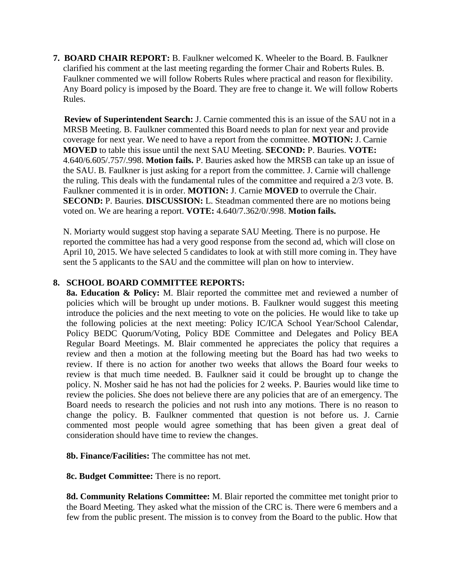**7. BOARD CHAIR REPORT:** B. Faulkner welcomed K. Wheeler to the Board. B. Faulkner clarified his comment at the last meeting regarding the former Chair and Roberts Rules. B. Faulkner commented we will follow Roberts Rules where practical and reason for flexibility. Any Board policy is imposed by the Board. They are free to change it. We will follow Roberts Rules.

 **Review of Superintendent Search:** J. Carnie commented this is an issue of the SAU not in a MRSB Meeting. B. Faulkner commented this Board needs to plan for next year and provide coverage for next year. We need to have a report from the committee. **MOTION:** J. Carnie **MOVED** to table this issue until the next SAU Meeting. **SECOND:** P. Bauries. **VOTE:**  4.640/6.605/.757/.998. **Motion fails.** P. Bauries asked how the MRSB can take up an issue of the SAU. B. Faulkner is just asking for a report from the committee. J. Carnie will challenge the ruling. This deals with the fundamental rules of the committee and required a 2/3 vote. B. Faulkner commented it is in order. **MOTION:** J. Carnie **MOVED** to overrule the Chair. **SECOND: P. Bauries. DISCUSSION: L. Steadman commented there are no motions being** voted on. We are hearing a report. **VOTE:** 4.640/7.362/0/.998. **Motion fails.** 

N. Moriarty would suggest stop having a separate SAU Meeting. There is no purpose. He reported the committee has had a very good response from the second ad, which will close on April 10, 2015. We have selected 5 candidates to look at with still more coming in. They have sent the 5 applicants to the SAU and the committee will plan on how to interview.

## **8. SCHOOL BOARD COMMITTEE REPORTS:**

**8a. Education & Policy:** M. Blair reported the committee met and reviewed a number of policies which will be brought up under motions. B. Faulkner would suggest this meeting introduce the policies and the next meeting to vote on the policies. He would like to take up the following policies at the next meeting: Policy IC/ICA School Year/School Calendar, Policy BEDC Quorum/Voting, Policy BDE Committee and Delegates and Policy BEA Regular Board Meetings. M. Blair commented he appreciates the policy that requires a review and then a motion at the following meeting but the Board has had two weeks to review. If there is no action for another two weeks that allows the Board four weeks to review is that much time needed. B. Faulkner said it could be brought up to change the policy. N. Mosher said he has not had the policies for 2 weeks. P. Bauries would like time to review the policies. She does not believe there are any policies that are of an emergency. The Board needs to research the policies and not rush into any motions. There is no reason to change the policy. B. Faulkner commented that question is not before us. J. Carnie commented most people would agree something that has been given a great deal of consideration should have time to review the changes.

**8b. Finance/Facilities:** The committee has not met.

 **8c. Budget Committee:** There is no report.

**8d. Community Relations Committee:** M. Blair reported the committee met tonight prior to the Board Meeting. They asked what the mission of the CRC is. There were 6 members and a few from the public present. The mission is to convey from the Board to the public. How that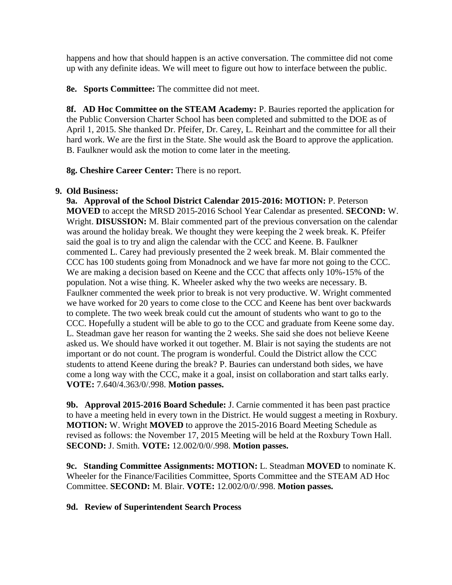happens and how that should happen is an active conversation. The committee did not come up with any definite ideas. We will meet to figure out how to interface between the public.

 **8e. Sports Committee:** The committee did not meet.

**8f. AD Hoc Committee on the STEAM Academy:** P. Bauries reported the application for the Public Conversion Charter School has been completed and submitted to the DOE as of April 1, 2015. She thanked Dr. Pfeifer, Dr. Carey, L. Reinhart and the committee for all their hard work. We are the first in the State. She would ask the Board to approve the application. B. Faulkner would ask the motion to come later in the meeting.

**8g. Cheshire Career Center:** There is no report.

## **9. Old Business:**

 **9a. Approval of the School District Calendar 2015-2016: MOTION:** P. Peterson **MOVED** to accept the MRSD 2015-2016 School Year Calendar as presented. **SECOND:** W. Wright. **DISUSSION:** M. Blair commented part of the previous conversation on the calendar was around the holiday break. We thought they were keeping the 2 week break. K. Pfeifer said the goal is to try and align the calendar with the CCC and Keene. B. Faulkner commented L. Carey had previously presented the 2 week break. M. Blair commented the CCC has 100 students going from Monadnock and we have far more not going to the CCC. We are making a decision based on Keene and the CCC that affects only 10%-15% of the population. Not a wise thing. K. Wheeler asked why the two weeks are necessary. B. Faulkner commented the week prior to break is not very productive. W. Wright commented we have worked for 20 years to come close to the CCC and Keene has bent over backwards to complete. The two week break could cut the amount of students who want to go to the CCC. Hopefully a student will be able to go to the CCC and graduate from Keene some day. L. Steadman gave her reason for wanting the 2 weeks. She said she does not believe Keene asked us. We should have worked it out together. M. Blair is not saying the students are not important or do not count. The program is wonderful. Could the District allow the CCC students to attend Keene during the break? P. Bauries can understand both sides, we have come a long way with the CCC, make it a goal, insist on collaboration and start talks early. **VOTE:** 7.640/4.363/0/.998. **Motion passes.** 

**9b. Approval 2015-2016 Board Schedule:** J. Carnie commented it has been past practice to have a meeting held in every town in the District. He would suggest a meeting in Roxbury. **MOTION:** W. Wright **MOVED** to approve the 2015-2016 Board Meeting Schedule as revised as follows: the November 17, 2015 Meeting will be held at the Roxbury Town Hall. **SECOND:** J. Smith. **VOTE:** 12.002/0/0/.998. **Motion passes.** 

**9c. Standing Committee Assignments: MOTION:** L. Steadman **MOVED** to nominate K. Wheeler for the Finance/Facilities Committee, Sports Committee and the STEAM AD Hoc Committee. **SECOND:** M. Blair. **VOTE:** 12.002/0/0/.998. **Motion passes.** 

# **9d. Review of Superintendent Search Process**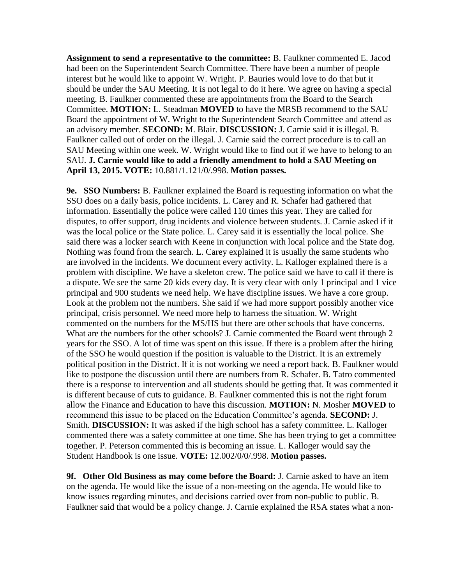**Assignment to send a representative to the committee:** B. Faulkner commented E. Jacod had been on the Superintendent Search Committee. There have been a number of people interest but he would like to appoint W. Wright. P. Bauries would love to do that but it should be under the SAU Meeting. It is not legal to do it here. We agree on having a special meeting. B. Faulkner commented these are appointments from the Board to the Search Committee. **MOTION:** L. Steadman **MOVED** to have the MRSB recommend to the SAU Board the appointment of W. Wright to the Superintendent Search Committee and attend as an advisory member. **SECOND:** M. Blair. **DISCUSSION:** J. Carnie said it is illegal. B. Faulkner called out of order on the illegal. J. Carnie said the correct procedure is to call an SAU Meeting within one week. W. Wright would like to find out if we have to belong to an SAU. **J. Carnie would like to add a friendly amendment to hold a SAU Meeting on April 13, 2015. VOTE:** 10.881/1.121/0/.998. **Motion passes.** 

**9e. SSO Numbers:** B. Faulkner explained the Board is requesting information on what the SSO does on a daily basis, police incidents. L. Carey and R. Schafer had gathered that information. Essentially the police were called 110 times this year. They are called for disputes, to offer support, drug incidents and violence between students. J. Carnie asked if it was the local police or the State police. L. Carey said it is essentially the local police. She said there was a locker search with Keene in conjunction with local police and the State dog. Nothing was found from the search. L. Carey explained it is usually the same students who are involved in the incidents. We document every activity. L. Kalloger explained there is a problem with discipline. We have a skeleton crew. The police said we have to call if there is a dispute. We see the same 20 kids every day. It is very clear with only 1 principal and 1 vice principal and 900 students we need help. We have discipline issues. We have a core group. Look at the problem not the numbers. She said if we had more support possibly another vice principal, crisis personnel. We need more help to harness the situation. W. Wright commented on the numbers for the MS/HS but there are other schools that have concerns. What are the numbers for the other schools? J. Carnie commented the Board went through 2 years for the SSO. A lot of time was spent on this issue. If there is a problem after the hiring of the SSO he would question if the position is valuable to the District. It is an extremely political position in the District. If it is not working we need a report back. B. Faulkner would like to postpone the discussion until there are numbers from R. Schafer. B. Tatro commented there is a response to intervention and all students should be getting that. It was commented it is different because of cuts to guidance. B. Faulkner commented this is not the right forum allow the Finance and Education to have this discussion. **MOTION:** N. Mosher **MOVED** to recommend this issue to be placed on the Education Committee's agenda. **SECOND:** J. Smith. **DISCUSSION:** It was asked if the high school has a safety committee. L. Kalloger commented there was a safety committee at one time. She has been trying to get a committee together. P. Peterson commented this is becoming an issue. L. Kalloger would say the Student Handbook is one issue. **VOTE:** 12.002/0/0/.998. **Motion passes.** 

**9f. Other Old Business as may come before the Board:** J. Carnie asked to have an item on the agenda. He would like the issue of a non-meeting on the agenda. He would like to know issues regarding minutes, and decisions carried over from non-public to public. B. Faulkner said that would be a policy change. J. Carnie explained the RSA states what a non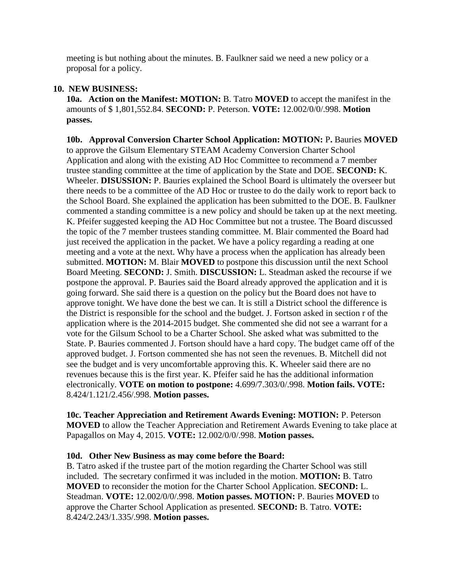meeting is but nothing about the minutes. B. Faulkner said we need a new policy or a proposal for a policy.

#### **10. NEW BUSINESS:**

**10a. Action on the Manifest: MOTION:** B. Tatro **MOVED** to accept the manifest in the amounts of \$ 1,801,552.84. **SECOND:** P. Peterson. **VOTE:** 12.002/0/0/.998. **Motion passes.**

**10b. Approval Conversion Charter School Application: MOTION:** P**.** Bauries **MOVED**  to approve the Gilsum Elementary STEAM Academy Conversion Charter School Application and along with the existing AD Hoc Committee to recommend a 7 member trustee standing committee at the time of application by the State and DOE. **SECOND:** K. Wheeler. **DISUSSION:** P. Bauries explained the School Board is ultimately the overseer but there needs to be a committee of the AD Hoc or trustee to do the daily work to report back to the School Board. She explained the application has been submitted to the DOE. B. Faulkner commented a standing committee is a new policy and should be taken up at the next meeting. K. Pfeifer suggested keeping the AD Hoc Committee but not a trustee. The Board discussed the topic of the 7 member trustees standing committee. M. Blair commented the Board had just received the application in the packet. We have a policy regarding a reading at one meeting and a vote at the next. Why have a process when the application has already been submitted. **MOTION:** M. Blair **MOVED** to postpone this discussion until the next School Board Meeting. **SECOND:** J. Smith. **DISCUSSION:** L. Steadman asked the recourse if we postpone the approval. P. Bauries said the Board already approved the application and it is going forward. She said there is a question on the policy but the Board does not have to approve tonight. We have done the best we can. It is still a District school the difference is the District is responsible for the school and the budget. J. Fortson asked in section r of the application where is the 2014-2015 budget. She commented she did not see a warrant for a vote for the Gilsum School to be a Charter School. She asked what was submitted to the State. P. Bauries commented J. Fortson should have a hard copy. The budget came off of the approved budget. J. Fortson commented she has not seen the revenues. B. Mitchell did not see the budget and is very uncomfortable approving this. K. Wheeler said there are no revenues because this is the first year. K. Pfeifer said he has the additional information electronically. **VOTE on motion to postpone:** 4.699/7.303/0/.998. **Motion fails. VOTE:**  8.424/1.121/2.456/.998. **Motion passes.** 

**10c. Teacher Appreciation and Retirement Awards Evening: MOTION:** P. Peterson **MOVED** to allow the Teacher Appreciation and Retirement Awards Evening to take place at Papagallos on May 4, 2015. **VOTE:** 12.002/0/0/.998. **Motion passes.** 

#### **10d. Other New Business as may come before the Board:**

B. Tatro asked if the trustee part of the motion regarding the Charter School was still included. The secretary confirmed it was included in the motion. **MOTION:** B. Tatro **MOVED** to reconsider the motion for the Charter School Application. **SECOND:** L. Steadman. **VOTE:** 12.002/0/0/.998. **Motion passes. MOTION:** P. Bauries **MOVED** to approve the Charter School Application as presented. **SECOND:** B. Tatro. **VOTE:**  8.424/2.243/1.335/.998. **Motion passes.**